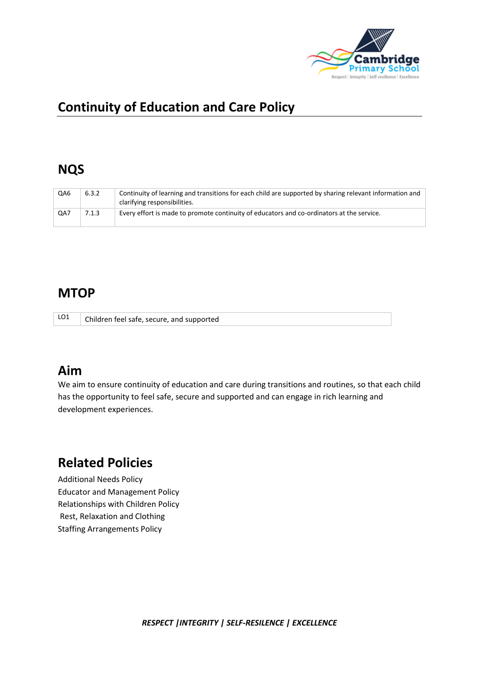

# **Continuity of Education and Care Policy**

#### **NQS**

| QA6 | 6.3.2 | Continuity of learning and transitions for each child are supported by sharing relevant information and<br>clarifying responsibilities. |
|-----|-------|-----------------------------------------------------------------------------------------------------------------------------------------|
| QA7 | 7.1.3 | Every effort is made to promote continuity of educators and co-ordinators at the service.                                               |

#### **MTOP**

|  | LO1 Children feel safe, secure, and supported |
|--|-----------------------------------------------|
|--|-----------------------------------------------|

### **Aim**

We aim to ensure continuity of education and care during transitions and routines, so that each child has the opportunity to feel safe, secure and supported and can engage in rich learning and development experiences.

## **Related Policies**

Additional Needs Policy Educator and Management Policy Relationships with Children Policy Rest, Relaxation and Clothing Staffing Arrangements Policy

*RESPECT |INTEGRITY | SELF-RESILENCE | EXCELLENCE*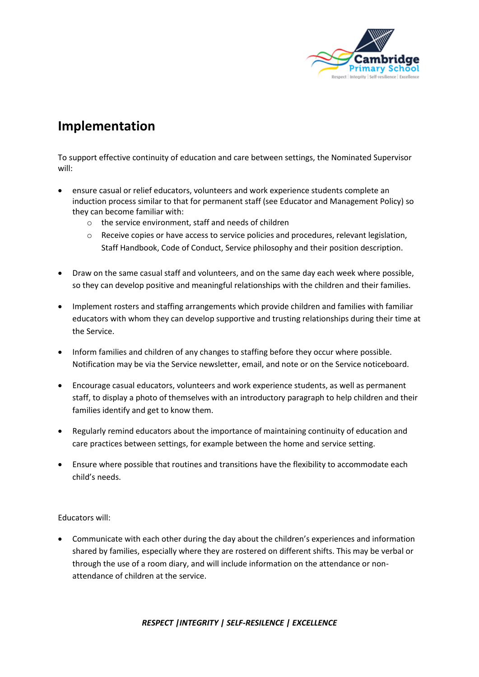

## **Implementation**

To support effective continuity of education and care between settings, the Nominated Supervisor will:

- ensure casual or relief educators, volunteers and work experience students complete an induction process similar to that for permanent staff (see Educator and Management Policy) so they can become familiar with:
	- o the service environment, staff and needs of children
	- o Receive copies or have access to service policies and procedures, relevant legislation, Staff Handbook, Code of Conduct, Service philosophy and their position description.
- Draw on the same casual staff and volunteers, and on the same day each week where possible, so they can develop positive and meaningful relationships with the children and their families.
- Implement rosters and staffing arrangements which provide children and families with familiar educators with whom they can develop supportive and trusting relationships during their time at the Service.
- Inform families and children of any changes to staffing before they occur where possible. Notification may be via the Service newsletter, email, and note or on the Service noticeboard.
- Encourage casual educators, volunteers and work experience students, as well as permanent staff, to display a photo of themselves with an introductory paragraph to help children and their families identify and get to know them.
- Regularly remind educators about the importance of maintaining continuity of education and care practices between settings, for example between the home and service setting.
- Ensure where possible that routines and transitions have the flexibility to accommodate each child's needs.

Educators will:

• Communicate with each other during the day about the children's experiences and information shared by families, especially where they are rostered on different shifts. This may be verbal or through the use of a room diary, and will include information on the attendance or nonattendance of children at the service.

*RESPECT |INTEGRITY | SELF-RESILENCE | EXCELLENCE*